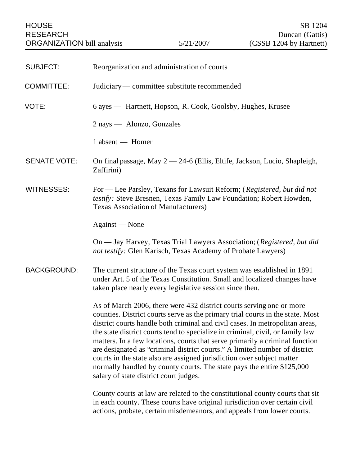| <b>SUBJECT:</b>     | Reorganization and administration of courts                                                                                                                                                                                                                                                                                                                                                                                                                                                                                                                                                                                                                                          |
|---------------------|--------------------------------------------------------------------------------------------------------------------------------------------------------------------------------------------------------------------------------------------------------------------------------------------------------------------------------------------------------------------------------------------------------------------------------------------------------------------------------------------------------------------------------------------------------------------------------------------------------------------------------------------------------------------------------------|
| <b>COMMITTEE:</b>   | Judiciary — committee substitute recommended                                                                                                                                                                                                                                                                                                                                                                                                                                                                                                                                                                                                                                         |
| VOTE:               | 6 ayes — Hartnett, Hopson, R. Cook, Goolsby, Hughes, Krusee                                                                                                                                                                                                                                                                                                                                                                                                                                                                                                                                                                                                                          |
|                     | 2 nays — Alonzo, Gonzales                                                                                                                                                                                                                                                                                                                                                                                                                                                                                                                                                                                                                                                            |
|                     | 1 absent — Homer                                                                                                                                                                                                                                                                                                                                                                                                                                                                                                                                                                                                                                                                     |
| <b>SENATE VOTE:</b> | On final passage, May $2 - 24 - 6$ (Ellis, Eltife, Jackson, Lucio, Shapleigh,<br>Zaffirini)                                                                                                                                                                                                                                                                                                                                                                                                                                                                                                                                                                                          |
| <b>WITNESSES:</b>   | For — Lee Parsley, Texans for Lawsuit Reform; (Registered, but did not<br>testify: Steve Bresnen, Texas Family Law Foundation; Robert Howden,<br><b>Texas Association of Manufacturers</b> )                                                                                                                                                                                                                                                                                                                                                                                                                                                                                         |
|                     | Against — None                                                                                                                                                                                                                                                                                                                                                                                                                                                                                                                                                                                                                                                                       |
|                     | On — Jay Harvey, Texas Trial Lawyers Association; (Registered, but did<br>not testify: Glen Karisch, Texas Academy of Probate Lawyers)                                                                                                                                                                                                                                                                                                                                                                                                                                                                                                                                               |
| <b>BACKGROUND:</b>  | The current structure of the Texas court system was established in 1891<br>under Art. 5 of the Texas Constitution. Small and localized changes have<br>taken place nearly every legislative session since then.                                                                                                                                                                                                                                                                                                                                                                                                                                                                      |
|                     | As of March 2006, there were 432 district courts serving one or more<br>counties. District courts serve as the primary trial courts in the state. Most<br>district courts handle both criminal and civil cases. In metropolitan areas,<br>the state district courts tend to specialize in criminal, civil, or family law<br>matters. In a few locations, courts that serve primarily a criminal function<br>are designated as "criminal district courts." A limited number of district<br>courts in the state also are assigned jurisdiction over subject matter<br>normally handled by county courts. The state pays the entire \$125,000<br>salary of state district court judges. |
|                     | County courts at law are related to the constitutional county courts that sit<br>in each county. These courts have original jurisdiction over certain civil<br>actions, probate, certain misdemeanors, and appeals from lower courts.                                                                                                                                                                                                                                                                                                                                                                                                                                                |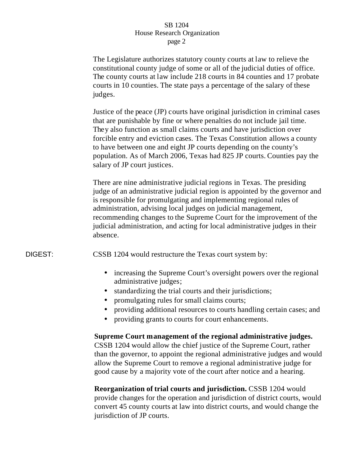The Legislature authorizes statutory county courts at law to relieve the constitutional county judge of some or all of the judicial duties of office. The county courts at law include 218 courts in 84 counties and 17 probate courts in 10 counties. The state pays a percentage of the salary of these judges.

Justice of the peace (JP) courts have original jurisdiction in criminal cases that are punishable by fine or where penalties do not include jail time. They also function as small claims courts and have jurisdiction over forcible entry and eviction cases. The Texas Constitution allows a county to have between one and eight JP courts depending on the county's population. As of March 2006, Texas had 825 JP courts. Counties pay the salary of JP court justices.

There are nine administrative judicial regions in Texas. The presiding judge of an administrative judicial region is appointed by the governor and is responsible for promulgating and implementing regional rules of administration, advising local judges on judicial management, recommending changes to the Supreme Court for the improvement of the judicial administration, and acting for local administrative judges in their absence.

DIGEST: CSSB 1204 would restructure the Texas court system by:

- increasing the Supreme Court's oversight powers over the regional administrative judges;
- standardizing the trial courts and their jurisdictions;
- promulgating rules for small claims courts;
- providing additional resources to courts handling certain cases; and
- providing grants to courts for court enhancements.

# **Supreme Court management of the regional administrative judges.**

CSSB 1204 would allow the chief justice of the Supreme Court, rather than the governor, to appoint the regional administrative judges and would allow the Supreme Court to remove a regional administrative judge for good cause by a majority vote of the court after notice and a hearing.

**Reorganization of trial courts and jurisdiction.** CSSB 1204 would provide changes for the operation and jurisdiction of district courts, would convert 45 county courts at law into district courts, and would change the jurisdiction of JP courts.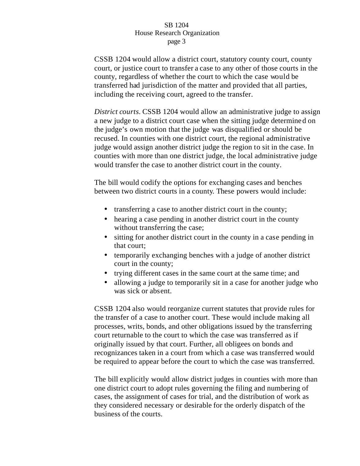CSSB 1204 would allow a district court, statutory county court, county court, or justice court to transfer a case to any other of those courts in the county, regardless of whether the court to which the case would be transferred had jurisdiction of the matter and provided that all parties, including the receiving court, agreed to the transfer.

*District courts.* CSSB 1204 would allow an administrative judge to assign a new judge to a district court case when the sitting judge determine d on the judge's own motion that the judge was disqualified or should be recused. In counties with one district court, the regional administrative judge would assign another district judge the region to sit in the case. In counties with more than one district judge, the local administrative judge would transfer the case to another district court in the county.

The bill would codify the options for exchanging cases and benches between two district courts in a county. These powers would include:

- transferring a case to another district court in the county;
- hearing a case pending in another district court in the county without transferring the case;
- sitting for another district court in the county in a case pending in that court;
- temporarily exchanging benches with a judge of another district court in the county;
- trying different cases in the same court at the same time; and
- allowing a judge to temporarily sit in a case for another judge who was sick or absent.

CSSB 1204 also would reorganize current statutes that provide rules for the transfer of a case to another court. These would include making all processes, writs, bonds, and other obligations issued by the transferring court returnable to the court to which the case was transferred as if originally issued by that court. Further, all obligees on bonds and recognizances taken in a court from which a case was transferred would be required to appear before the court to which the case was transferred.

The bill explicitly would allow district judges in counties with more than one district court to adopt rules governing the filing and numbering of cases, the assignment of cases for trial, and the distribution of work as they considered necessary or desirable for the orderly dispatch of the business of the courts.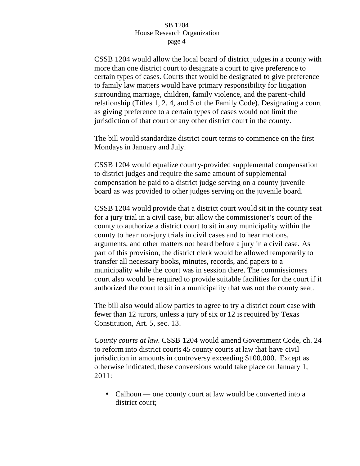CSSB 1204 would allow the local board of district judges in a county with more than one district court to designate a court to give preference to certain types of cases. Courts that would be designated to give preference to family law matters would have primary responsibility for litigation surrounding marriage, children, family violence, and the parent-child relationship (Titles 1, 2, 4, and 5 of the Family Code). Designating a court as giving preference to a certain types of cases would not limit the jurisdiction of that court or any other district court in the county.

The bill would standardize district court terms to commence on the first Mondays in January and July.

CSSB 1204 would equalize county-provided supplemental compensation to district judges and require the same amount of supplemental compensation be paid to a district judge serving on a county juvenile board as was provided to other judges serving on the juvenile board.

CSSB 1204 would provide that a district court would sit in the county seat for a jury trial in a civil case, but allow the commissioner's court of the county to authorize a district court to sit in any municipality within the county to hear non-jury trials in civil cases and to hear motions, arguments, and other matters not heard before a jury in a civil case. As part of this provision, the district clerk would be allowed temporarily to transfer all necessary books, minutes, records, and papers to a municipality while the court was in session there. The commissioners court also would be required to provide suitable facilities for the court if it authorized the court to sit in a municipality that was not the county seat.

The bill also would allow parties to agree to try a district court case with fewer than 12 jurors, unless a jury of six or 12 is required by Texas Constitution, Art. 5, sec. 13.

*County courts at law.* CSSB 1204 would amend Government Code, ch. 24 to reform into district courts 45 county courts at law that have civil jurisdiction in amounts in controversy exceeding \$100,000. Except as otherwise indicated, these conversions would take place on January 1, 2011:

• Calhoun — one county court at law would be converted into a district court;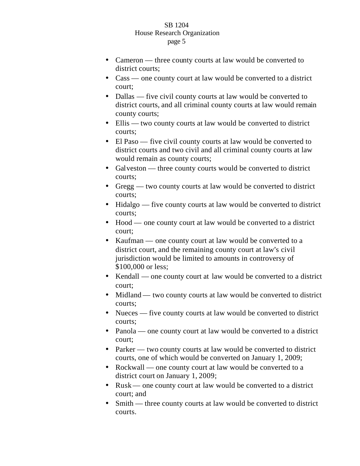- Cameron three county courts at law would be converted to district courts:
- Cass one county court at law would be converted to a district court;
- Dallas five civil county courts at law would be converted to district courts, and all criminal county courts at law would remain county courts;
- Ellis two county courts at law would be converted to district courts;
- El Paso five civil county courts at law would be converted to district courts and two civil and all criminal county courts at law would remain as county courts;
- Galveston three county courts would be converted to district courts;
- Gregg two county courts at law would be converted to district courts;
- Hidalgo five county courts at law would be converted to district courts;
- Hood one county court at law would be converted to a district court;
- Kaufman one county court at law would be converted to a district court, and the remaining county court at law's civil jurisdiction would be limited to amounts in controversy of \$100,000 or less;
- Kendall one county court at law would be converted to a district court;
- Midland two county courts at law would be converted to district courts;
- Nueces five county courts at law would be converted to district courts;
- Panola one county court at law would be converted to a district court;
- Parker two county courts at law would be converted to district courts, one of which would be converted on January 1, 2009;
- Rockwall one county court at law would be converted to a district court on January 1, 2009;
- Rusk one county court at law would be converted to a district court; and
- Smith three county courts at law would be converted to district courts.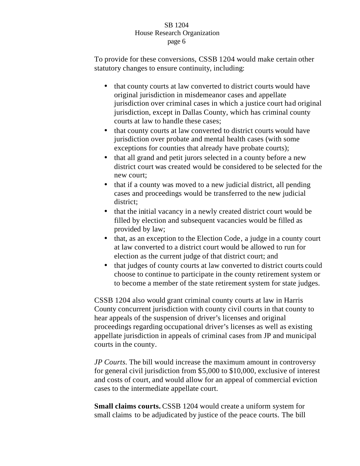To provide for these conversions, CSSB 1204 would make certain other statutory changes to ensure continuity, including:

- that county courts at law converted to district courts would have original jurisdiction in misdemeanor cases and appellate jurisdiction over criminal cases in which a justice court had original jurisdiction, except in Dallas County, which has criminal county courts at law to handle these cases;
- that county courts at law converted to district courts would have jurisdiction over probate and mental health cases (with some exceptions for counties that already have probate courts);
- that all grand and petit jurors selected in a county before a new district court was created would be considered to be selected for the new court;
- that if a county was moved to a new judicial district, all pending cases and proceedings would be transferred to the new judicial district;
- that the initial vacancy in a newly created district court would be filled by election and subsequent vacancies would be filled as provided by law;
- that, as an exception to the Election Code, a judge in a county court at law converted to a district court would be allowed to run for election as the current judge of that district court; and
- that judges of county courts at law converted to district courts could choose to continue to participate in the county retirement system or to become a member of the state retirement system for state judges.

CSSB 1204 also would grant criminal county courts at law in Harris County concurrent jurisdiction with county civil courts in that county to hear appeals of the suspension of driver's licenses and original proceedings regarding occupational driver's licenses as well as existing appellate jurisdiction in appeals of criminal cases from JP and municipal courts in the county.

*JP Courts.* The bill would increase the maximum amount in controversy for general civil jurisdiction from \$5,000 to \$10,000, exclusive of interest and costs of court, and would allow for an appeal of commercial eviction cases to the intermediate appellate court.

**Small claims courts.** CSSB 1204 would create a uniform system for small claims to be adjudicated by justice of the peace courts. The bill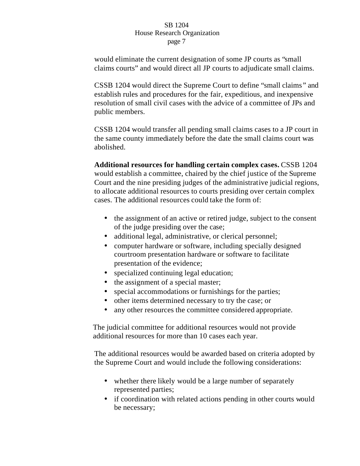would eliminate the current designation of some JP courts as "small claims courts" and would direct all JP courts to adjudicate small claims.

CSSB 1204 would direct the Supreme Court to define "small claims " and establish rules and procedures for the fair, expeditious, and inexpensive resolution of small civil cases with the advice of a committee of JPs and public members.

CSSB 1204 would transfer all pending small claims cases to a JP court in the same county immediately before the date the small claims court was abolished.

**Additional resources for handling certain complex cases.** CSSB 1204 would establish a committee, chaired by the chief justice of the Supreme Court and the nine presiding judges of the administrative judicial regions, to allocate additional resources to courts presiding over certain complex cases. The additional resources could take the form of:

- the assignment of an active or retired judge, subject to the consent of the judge presiding over the case;
- additional legal, administrative, or clerical personnel;
- computer hardware or software, including specially designed courtroom presentation hardware or software to facilitate presentation of the evidence;
- specialized continuing legal education;
- the assignment of a special master;
- special accommodations or furnishings for the parties;
- other items determined necessary to try the case; or
- any other resources the committee considered appropriate.

The judicial committee for additional resources would not provide additional resources for more than 10 cases each year.

The additional resources would be awarded based on criteria adopted by the Supreme Court and would include the following considerations:

- whether there likely would be a large number of separately represented parties;
- if coordination with related actions pending in other courts would be necessary;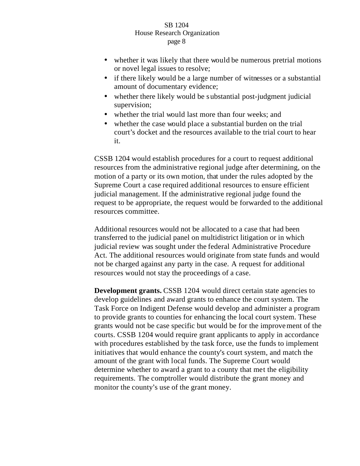- whether it was likely that there would be numerous pretrial motions or novel legal issues to resolve;
- if there likely would be a large number of witnesses or a substantial amount of documentary evidence;
- whether there likely would be substantial post-judgment judicial supervision;
- whether the trial would last more than four weeks; and
- whether the case would place a substantial burden on the trial court's docket and the resources available to the trial court to hear it.

CSSB 1204 would establish procedures for a court to request additional resources from the administrative regional judge after determining, on the motion of a party or its own motion, that under the rules adopted by the Supreme Court a case required additional resources to ensure efficient judicial management. If the administrative regional judge found the request to be appropriate, the request would be forwarded to the additional resources committee.

Additional resources would not be allocated to a case that had been transferred to the judicial panel on multidistrict litigation or in which judicial review was sought under the federal Administrative Procedure Act. The additional resources would originate from state funds and would not be charged against any party in the case. A request for additional resources would not stay the proceedings of a case.

**Development grants.** CSSB 1204 would direct certain state agencies to develop guidelines and award grants to enhance the court system. The Task Force on Indigent Defense would develop and administer a program to provide grants to counties for enhancing the local court system. These grants would not be case specific but would be for the improvement of the courts. CSSB 1204 would require grant applicants to apply in accordance with procedures established by the task force, use the funds to implement initiatives that would enhance the county's court system, and match the amount of the grant with local funds. The Supreme Court would determine whether to award a grant to a county that met the eligibility requirements. The comptroller would distribute the grant money and monitor the county's use of the grant money.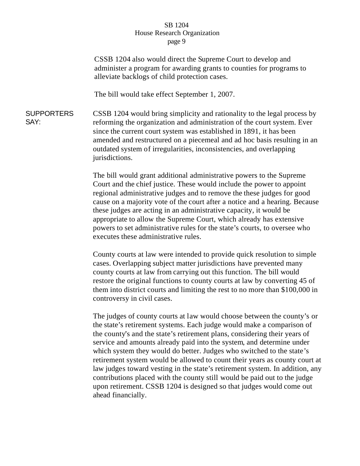CSSB 1204 also would direct the Supreme Court to develop and administer a program for awarding grants to counties for programs to alleviate backlogs of child protection cases.

The bill would take effect September 1, 2007.

**SUPPORTERS** SAY: CSSB 1204 would bring simplicity and rationality to the legal process by reforming the organization and administration of the court system. Ever since the current court system was established in 1891, it has been amended and restructured on a piecemeal and ad hoc basis resulting in an outdated system of irregularities, inconsistencies, and overlapping jurisdictions.

> The bill would grant additional administrative powers to the Supreme Court and the chief justice. These would include the power to appoint regional administrative judges and to remove the these judges for good cause on a majority vote of the court after a notice and a hearing. Because these judges are acting in an administrative capacity, it would be appropriate to allow the Supreme Court, which already has extensive powers to set administrative rules for the state's courts, to oversee who executes these administrative rules.

> County courts at law were intended to provide quick resolution to simple cases. Overlapping subject matter jurisdictions have prevented many county courts at law from carrying out this function. The bill would restore the original functions to county courts at law by converting 45 of them into district courts and limiting the rest to no more than \$100,000 in controversy in civil cases.

The judges of county courts at law would choose between the county's or the state's retirement systems. Each judge would make a comparison of the county's and the state's retirement plans, considering their years of service and amounts already paid into the system, and determine under which system they would do better. Judges who switched to the state's retirement system would be allowed to count their years as county court at law judges toward vesting in the state's retirement system. In addition, any contributions placed with the county still would be paid out to the judge upon retirement. CSSB 1204 is designed so that judges would come out ahead financially.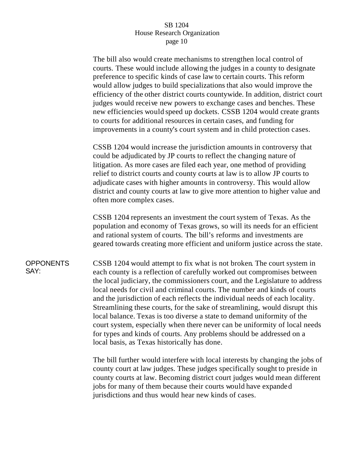The bill also would create mechanisms to strengthen local control of courts. These would include allowing the judges in a county to designate preference to specific kinds of case law to certain courts. This reform would allow judges to build specializations that also would improve the efficiency of the other district courts countywide. In addition, district court judges would receive new powers to exchange cases and benches. These new efficiencies would speed up dockets. CSSB 1204 would create grants to courts for additional resources in certain cases, and funding for improvements in a county's court system and in child protection cases.

CSSB 1204 would increase the jurisdiction amounts in controversy that could be adjudicated by JP courts to reflect the changing nature of litigation. As more cases are filed each year, one method of providing relief to district courts and county courts at law is to allow JP courts to adjudicate cases with higher amounts in controversy. This would allow district and county courts at law to give more attention to higher value and often more complex cases.

CSSB 1204 represents an investment the court system of Texas. As the population and economy of Texas grows, so will its needs for an efficient and rational system of courts. The bill's reforms and investments are geared towards creating more efficient and uniform justice across the state.

#### **OPPONENTS** SAY:

CSSB 1204 would attempt to fix what is not broken. The court system in each county is a reflection of carefully worked out compromises between the local judiciary, the commissioners court, and the Legislature to address local needs for civil and criminal courts. The number and kinds of courts and the jurisdiction of each reflects the individual needs of each locality. Streamlining these courts, for the sake of streamlining, would disrupt this local balance. Texas is too diverse a state to demand uniformity of the court system, especially when there never can be uniformity of local needs for types and kinds of courts. Any problems should be addressed on a local basis, as Texas historically has done.

The bill further would interfere with local interests by changing the jobs of county court at law judges. These judges specifically sought to preside in county courts at law. Becoming district court judges would mean different jobs for many of them because their courts would have expanded jurisdictions and thus would hear new kinds of cases.